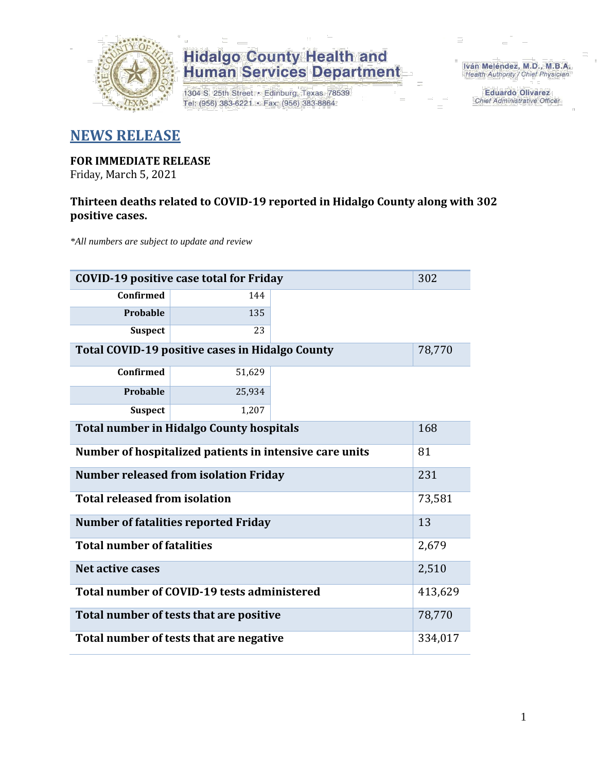

1304 S. 25th Street · Edinburg, Texas 78539 Tel: (956) 383-6221 · Fax: (956) 383-8864

Iván Meléndez, M.D., M.B.A. Health Authority / Chief Physician

> **Eduardo Olivarez** Chief Administrative Officer

### **NEWS RELEASE**

### **FOR IMMEDIATE RELEASE**

Friday, March 5, 2021

### **Thirteen deaths related to COVID-19 reported in Hidalgo County along with 302 positive cases.**

*\*All numbers are subject to update and review*

| <b>COVID-19 positive case total for Friday</b><br>302         |         |  |       |  |  |  |  |
|---------------------------------------------------------------|---------|--|-------|--|--|--|--|
| <b>Confirmed</b>                                              | 144     |  |       |  |  |  |  |
| Probable                                                      | 135     |  |       |  |  |  |  |
| <b>Suspect</b>                                                | 23      |  |       |  |  |  |  |
| Total COVID-19 positive cases in Hidalgo County               | 78,770  |  |       |  |  |  |  |
| Confirmed                                                     |         |  |       |  |  |  |  |
| Probable                                                      | 25,934  |  |       |  |  |  |  |
| <b>Suspect</b>                                                |         |  |       |  |  |  |  |
| <b>Total number in Hidalgo County hospitals</b><br>168        |         |  |       |  |  |  |  |
| Number of hospitalized patients in intensive care units<br>81 |         |  |       |  |  |  |  |
| <b>Number released from isolation Friday</b><br>231           |         |  |       |  |  |  |  |
| <b>Total released from isolation</b><br>73,581                |         |  |       |  |  |  |  |
| <b>Number of fatalities reported Friday</b>                   | 13      |  |       |  |  |  |  |
| <b>Total number of fatalities</b>                             |         |  | 2,679 |  |  |  |  |
| <b>Net active cases</b>                                       | 2,510   |  |       |  |  |  |  |
| Total number of COVID-19 tests administered                   | 413,629 |  |       |  |  |  |  |
| Total number of tests that are positive                       | 78,770  |  |       |  |  |  |  |
| Total number of tests that are negative                       | 334,017 |  |       |  |  |  |  |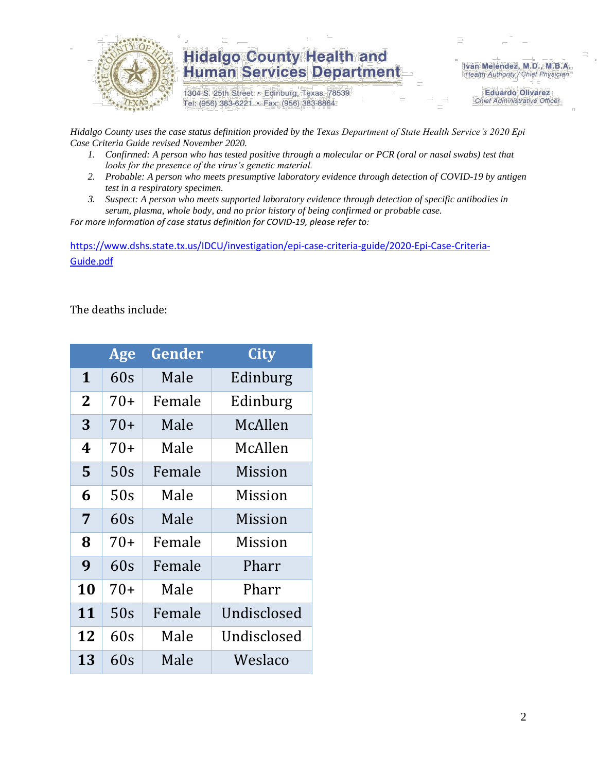

1304 S. 25th Street · Edinburg, Texas 78539 Tel: (956) 383-6221 · Fax: (956) 383-8864

Iván Meléndez, M.D., M.B.A. Health Authority / Chief Physician

> **Eduardo Olivarez Chief Administrative Officer**

*Hidalgo County uses the case status definition provided by the Texas Department of State Health Service's 2020 Epi Case Criteria Guide revised November 2020.*

- *1. Confirmed: A person who has tested positive through a molecular or PCR (oral or nasal swabs) test that looks for the presence of the virus's genetic material.*
- *2. Probable: A person who meets presumptive laboratory evidence through detection of COVID-19 by antigen test in a respiratory specimen.*
- *3. Suspect: A person who meets supported laboratory evidence through detection of specific antibodies in serum, plasma, whole body, and no prior history of being confirmed or probable case.*

*For more information of case status definition for COVID-19, please refer to:*

[https://www.dshs.state.tx.us/IDCU/investigation/epi-case-criteria-guide/2020-Epi-Case-Criteria-](https://www.dshs.state.tx.us/IDCU/investigation/epi-case-criteria-guide/2020-Epi-Case-Criteria-Guide.pdf)[Guide.pdf](https://www.dshs.state.tx.us/IDCU/investigation/epi-case-criteria-guide/2020-Epi-Case-Criteria-Guide.pdf)

The deaths include:

|                | Age   | Gender | <b>City</b> |
|----------------|-------|--------|-------------|
| 1              | 60s   | Male   | Edinburg    |
| $\overline{2}$ | $70+$ | Female | Edinburg    |
| 3              | $70+$ | Male   | McAllen     |
| 4              | 70+   | Male   | McAllen     |
| 5              | 50s   | Female | Mission     |
| 6              | 50s   | Male   | Mission     |
| 7              | 60s   | Male   | Mission     |
| 8              | $70+$ | Female | Mission     |
| 9              | 60s   | Female | Pharr       |
| 10             | 70+   | Male   | Pharr       |
| 11             | 50s   | Female | Undisclosed |
| 12             | 60s   | Male   | Undisclosed |
| 13             | 60s   | Male   | Weslaco     |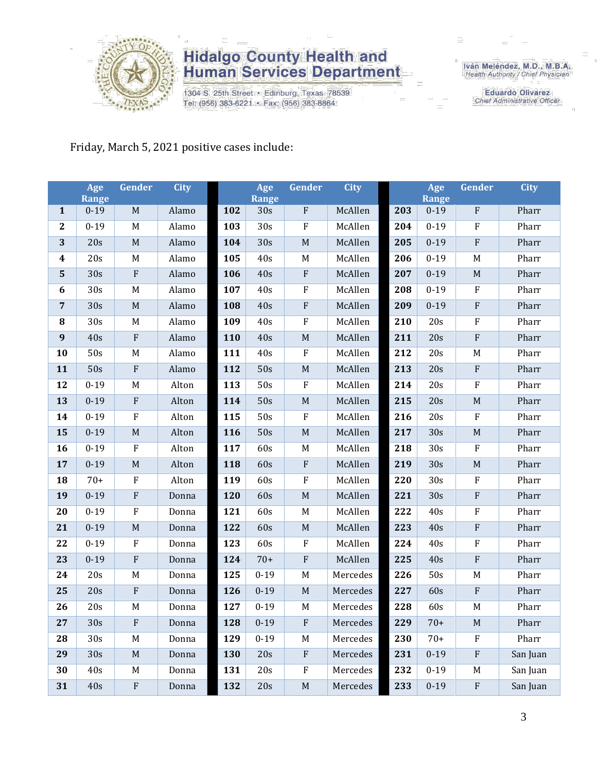

1304 S. 25th Street · Edinburg, Texas 78539 Tel: (956) 383-6221 · Fax: (956) 383-8864

Iván Meléndez, M.D., M.B.A.<br>Health Authority / Chief Physician

**Eduardo Olivarez** Chief Administrative Officer

### Friday, March 5, 2021 positive cases include:

|                | Age<br><b>Range</b> | Gender                    | <b>City</b> |     | Age<br><b>Range</b> | <b>Gender</b>             | <b>City</b> |     | Age<br><b>Range</b> | <b>Gender</b>             | <b>City</b> |
|----------------|---------------------|---------------------------|-------------|-----|---------------------|---------------------------|-------------|-----|---------------------|---------------------------|-------------|
| $\mathbf{1}$   | $0 - 19$            | $\mathbf M$               | Alamo       | 102 | 30s                 | $\boldsymbol{\mathrm{F}}$ | McAllen     | 203 | $0 - 19$            | ${\bf F}$                 | Pharr       |
| $\mathbf{2}$   | $0 - 19$            | M                         | Alamo       | 103 | 30s                 | $\mathbf F$               | McAllen     | 204 | $0 - 19$            | ${\bf F}$                 | Pharr       |
| 3              | 20s                 | $\mathbf M$               | Alamo       | 104 | 30s                 | $\mathbf M$               | McAllen     | 205 | $0 - 19$            | $\boldsymbol{F}$          | Pharr       |
| 4              | 20s                 | M                         | Alamo       | 105 | 40s                 | $\mathbf M$               | McAllen     | 206 | $0 - 19$            | M                         | Pharr       |
| $\overline{5}$ | 30s                 | $\boldsymbol{\mathrm{F}}$ | Alamo       | 106 | 40s                 | $\rm F$                   | McAllen     | 207 | $0 - 19$            | $\mathbf M$               | Pharr       |
| 6              | 30s                 | $\mathbf M$               | Alamo       | 107 | 40s                 | $\rm F$                   | McAllen     | 208 | $0 - 19$            | F                         | Pharr       |
| $\overline{7}$ | 30s                 | $\mathbf M$               | Alamo       | 108 | 40s                 | $\rm F$                   | McAllen     | 209 | $0 - 19$            | ${\bf F}$                 | Pharr       |
| 8              | 30s                 | $\mathbf M$               | Alamo       | 109 | 40s                 | $\mathbf F$               | McAllen     | 210 | 20s                 | $\rm F$                   | Pharr       |
| 9              | 40s                 | ${\bf F}$                 | Alamo       | 110 | 40s                 | $\mathbf M$               | McAllen     | 211 | 20s                 | ${\bf F}$                 | Pharr       |
| 10             | 50s                 | M                         | Alamo       | 111 | 40s                 | $\rm F$                   | McAllen     | 212 | 20s                 | M                         | Pharr       |
| 11             | 50s                 | $\rm F$                   | Alamo       | 112 | 50s                 | $\mathbf M$               | McAllen     | 213 | 20s                 | ${\bf F}$                 | Pharr       |
| 12             | $0 - 19$            | M                         | Alton       | 113 | 50s                 | $\rm F$                   | McAllen     | 214 | 20s                 | ${\bf F}$                 | Pharr       |
| 13             | $0 - 19$            | ${\bf F}$                 | Alton       | 114 | 50s                 | $\mathbf M$               | McAllen     | 215 | 20s                 | M                         | Pharr       |
| 14             | $0 - 19$            | ${\bf F}$                 | Alton       | 115 | 50s                 | $\mathbf F$               | McAllen     | 216 | 20s                 | $\rm F$                   | Pharr       |
| 15             | $0 - 19$            | M                         | Alton       | 116 | 50s                 | $\mathbf M$               | McAllen     | 217 | 30s                 | M                         | Pharr       |
| 16             | $0 - 19$            | ${\bf F}$                 | Alton       | 117 | 60s                 | $\mathbf M$               | McAllen     | 218 | 30s                 | F                         | Pharr       |
| 17             | $0 - 19$            | $\mathbf M$               | Alton       | 118 | 60s                 | $\rm F$                   | McAllen     | 219 | 30s                 | $\mathbf M$               | Pharr       |
| 18             | $70+$               | ${\bf F}$                 | Alton       | 119 | 60s                 | $\mathbf F$               | McAllen     | 220 | 30s                 | ${\bf F}$                 | Pharr       |
| 19             | $0 - 19$            | ${\bf F}$                 | Donna       | 120 | 60s                 | $\mathbf M$               | McAllen     | 221 | 30s                 | ${\bf F}$                 | Pharr       |
| 20             | $0 - 19$            | ${\bf F}$                 | Donna       | 121 | 60s                 | M                         | McAllen     | 222 | 40s                 | F                         | Pharr       |
| 21             | $0 - 19$            | $\mathbf M$               | Donna       | 122 | 60s                 | $\mathbf M$               | McAllen     | 223 | 40s                 | ${\bf F}$                 | Pharr       |
| 22             | $0 - 19$            | ${\bf F}$                 | Donna       | 123 | 60s                 | $\rm F$                   | McAllen     | 224 | 40s                 | ${\bf F}$                 | Pharr       |
| 23             | $0 - 19$            | ${\bf F}$                 | Donna       | 124 | $70+$               | $\rm F$                   | McAllen     | 225 | 40s                 | ${\bf F}$                 | Pharr       |
| 24             | 20s                 | M                         | Donna       | 125 | $0 - 19$            | M                         | Mercedes    | 226 | 50s                 | M                         | Pharr       |
| 25             | 20s                 | ${\bf F}$                 | Donna       | 126 | $0 - 19$            | $\mathbf M$               | Mercedes    | 227 | 60s                 | ${\bf F}$                 | Pharr       |
| 26             | 20s                 | $\mathbf M$               | Donna       | 127 | $0 - 19$            | M                         | Mercedes    | 228 | 60s                 | M                         | Pharr       |
| 27             | 30s                 | $\mathbf{F}$              | Donna       | 128 | $0 - 19$            | $\mathbf{F}$              | Mercedes    | 229 | $70+$               | M                         | Pharr       |
| 28             | 30s                 | M                         | Donna       | 129 | $0-19$              | $\mathbf M$               | Mercedes    | 230 | $70+$               | $\rm F$                   | Pharr       |
| 29             | 30 <sub>s</sub>     | $\mathbf M$               | Donna       | 130 | 20s                 | $\rm F$                   | Mercedes    | 231 | $0 - 19$            | $\boldsymbol{\mathrm{F}}$ | San Juan    |
| 30             | 40s                 | M                         | Donna       | 131 | 20s                 | $\mathbf F$               | Mercedes    | 232 | $0 - 19$            | M                         | San Juan    |
| 31             | $40s$               | ${\bf F}$                 | Donna       | 132 | 20s                 | $\mathbf M$               | Mercedes    | 233 | $0 - 19$            | ${\bf F}$                 | San Juan    |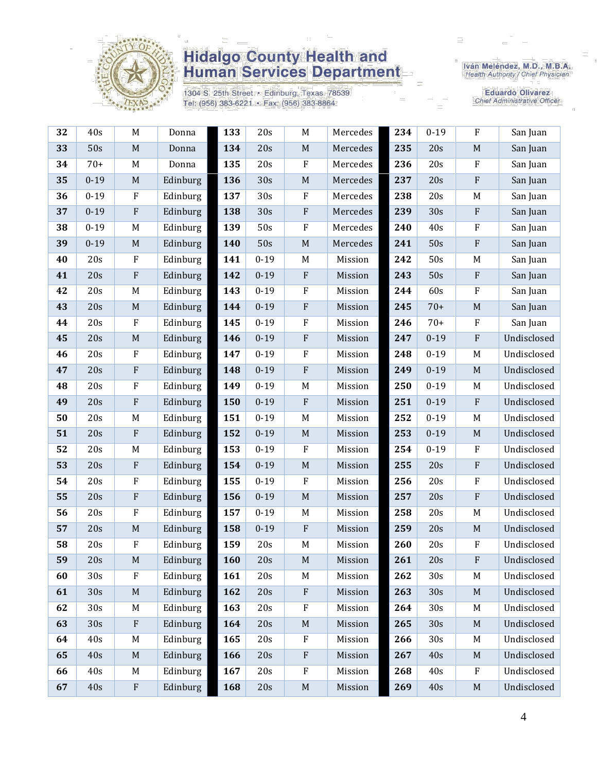

1304 S. 25th Street · Edinburg, Texas 78539 Tel: (956) 383-6221 · Fax: (956) 383-8864

Iván Meléndez, M.D., M.B.A.<br>Health Authority / Chief Physician

Eduardo Olivarez Chief Administrative Officer

| 32 | 40s             | M           | Donna    | 133 | 20s      | $\mathbf M$      | Mercedes | 234 | $0 - 19$ | $\rm F$      | San Juan    |
|----|-----------------|-------------|----------|-----|----------|------------------|----------|-----|----------|--------------|-------------|
| 33 | 50s             | $\mathbf M$ | Donna    | 134 | 20s      | $\mathbf M$      | Mercedes | 235 | 20s      | $\mathbf M$  | San Juan    |
| 34 | $70+$           | M           | Donna    | 135 | 20s      | $\rm F$          | Mercedes | 236 | 20s      | $\rm F$      | San Juan    |
| 35 | $0 - 19$        | $\mathbf M$ | Edinburg | 136 | 30s      | $\mathbf M$      | Mercedes | 237 | 20s      | $\rm F$      | San Juan    |
| 36 | $0 - 19$        | $\rm F$     | Edinburg | 137 | 30s      | ${\bf F}$        | Mercedes | 238 | 20s      | M            | San Juan    |
| 37 | $0 - 19$        | ${\bf F}$   | Edinburg | 138 | 30s      | ${\bf F}$        | Mercedes | 239 | 30s      | ${\bf F}$    | San Juan    |
| 38 | $0 - 19$        | $\mathbf M$ | Edinburg | 139 | 50s      | ${\bf F}$        | Mercedes | 240 | 40s      | $\rm F$      | San Juan    |
| 39 | $0 - 19$        | $\mathbf M$ | Edinburg | 140 | 50s      | $\mathbf M$      | Mercedes | 241 | 50s      | ${\bf F}$    | San Juan    |
| 40 | 20s             | ${\bf F}$   | Edinburg | 141 | $0 - 19$ | $M_{\rm}$        | Mission  | 242 | 50s      | M            | San Juan    |
| 41 | 20s             | ${\bf F}$   | Edinburg | 142 | $0 - 19$ | $\mathbf F$      | Mission  | 243 | 50s      | $\mathbf{F}$ | San Juan    |
| 42 | 20s             | M           | Edinburg | 143 | $0 - 19$ | $\rm F$          | Mission  | 244 | 60s      | ${\bf F}$    | San Juan    |
| 43 | 20s             | $\mathbf M$ | Edinburg | 144 | $0 - 19$ | $\rm F$          | Mission  | 245 | $70+$    | $\mathbf M$  | San Juan    |
| 44 | 20s             | ${\bf F}$   | Edinburg | 145 | $0 - 19$ | $\boldsymbol{F}$ | Mission  | 246 | $70+$    | $\rm F$      | San Juan    |
| 45 | 20s             | $\mathbf M$ | Edinburg | 146 | $0 - 19$ | ${\bf F}$        | Mission  | 247 | $0 - 19$ | ${\bf F}$    | Undisclosed |
| 46 | 20s             | ${\bf F}$   | Edinburg | 147 | $0 - 19$ | $\rm F$          | Mission  | 248 | $0 - 19$ | M            | Undisclosed |
| 47 | 20s             | $\rm F$     | Edinburg | 148 | $0 - 19$ | ${\bf F}$        | Mission  | 249 | $0 - 19$ | $\mathbf M$  | Undisclosed |
| 48 | 20s             | ${\bf F}$   | Edinburg | 149 | $0 - 19$ | M                | Mission  | 250 | $0 - 19$ | M            | Undisclosed |
| 49 | 20s             | ${\bf F}$   | Edinburg | 150 | $0 - 19$ | $\rm F$          | Mission  | 251 | $0 - 19$ | $\rm F$      | Undisclosed |
| 50 | 20s             | $\mathbf M$ | Edinburg | 151 | $0 - 19$ | M                | Mission  | 252 | $0 - 19$ | M            | Undisclosed |
| 51 | 20s             | ${\bf F}$   | Edinburg | 152 | $0 - 19$ | $\mathbf M$      | Mission  | 253 | $0 - 19$ | $\mathbf M$  | Undisclosed |
| 52 | 20s             | M           | Edinburg | 153 | $0 - 19$ | $\rm F$          | Mission  | 254 | $0 - 19$ | $\rm F$      | Undisclosed |
| 53 | 20s             | ${\bf F}$   | Edinburg | 154 | $0 - 19$ | $\mathbf M$      | Mission  | 255 | 20s      | ${\bf F}$    | Undisclosed |
| 54 | 20s             | ${\bf F}$   | Edinburg | 155 | $0 - 19$ | $\mathbf F$      | Mission  | 256 | 20s      | $\rm F$      | Undisclosed |
| 55 | 20s             | ${\bf F}$   | Edinburg | 156 | $0 - 19$ | $\mathbf M$      | Mission  | 257 | 20s      | $\rm F$      | Undisclosed |
| 56 | 20s             | ${\bf F}$   | Edinburg | 157 | $0 - 19$ | M                | Mission  | 258 | 20s      | $\mathbf M$  | Undisclosed |
| 57 | 20s             | $\mathbf M$ | Edinburg | 158 | $0 - 19$ | ${\bf F}$        | Mission  | 259 | 20s      | $\mathbf M$  | Undisclosed |
| 58 | 20s             | ${\bf F}$   | Edinburg | 159 | 20s      | M                | Mission  | 260 | 20s      | $\rm F$      | Undisclosed |
| 59 | 20s             | $\mathbf M$ | Edinburg | 160 | 20s      | $\mathbf M$      | Mission  | 261 | 20s      | $\rm F$      | Undisclosed |
| 60 | 30s             | $\rm F$     | Edinburg | 161 | 20s      | M                | Mission  | 262 | 30s      | M            | Undisclosed |
| 61 | 30 <sub>s</sub> | $\mathbf M$ | Edinburg | 162 | 20s      | $\rm F$          | Mission  | 263 | 30s      | M            | Undisclosed |
| 62 | 30s             | M           | Edinburg | 163 | 20s      | ${\bf F}$        | Mission  | 264 | 30s      | M            | Undisclosed |
| 63 | 30 <sub>s</sub> | ${\bf F}$   | Edinburg | 164 | 20s      | $\mathbf M$      | Mission  | 265 | 30s      | M            | Undisclosed |
| 64 | 40s             | M           | Edinburg | 165 | 20s      | $\rm F$          | Mission  | 266 | 30s      | M            | Undisclosed |
| 65 | 40s             | $\mathbf M$ | Edinburg | 166 | 20s      | $\rm F$          | Mission  | 267 | 40s      | $\mathbf M$  | Undisclosed |
| 66 | 40s             | M           | Edinburg | 167 | 20s      | ${\bf F}$        | Mission  | 268 | 40s      | $\rm F$      | Undisclosed |
| 67 | 40s             | $\rm F$     | Edinburg | 168 | 20s      | $\mathbf M$      | Mission  | 269 | 40s      | $\mathbf M$  | Undisclosed |